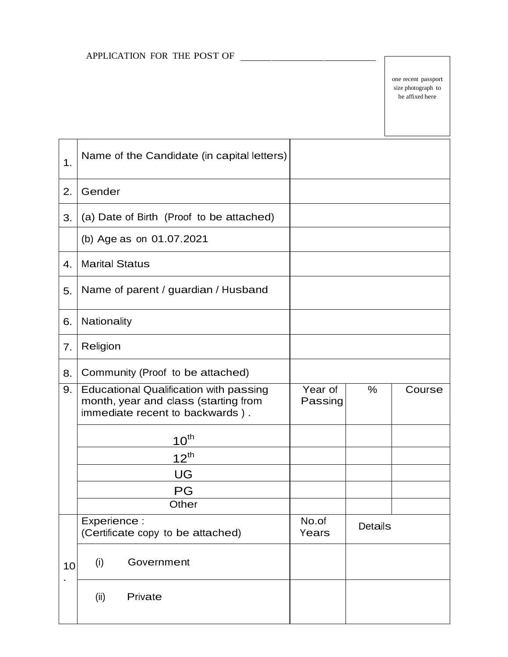## APPLICATION FOR THE POST OF

one recent passport size photograph to be affixed here

| 1. | Name of the Candidate (in capital letters)                                                                               |                    |                |        |
|----|--------------------------------------------------------------------------------------------------------------------------|--------------------|----------------|--------|
| 2. | Gender                                                                                                                   |                    |                |        |
| 3. | (a) Date of Birth (Proof to be attached)                                                                                 |                    |                |        |
|    | (b) Age as on 01.07.2021                                                                                                 |                    |                |        |
| 4. | <b>Marital Status</b>                                                                                                    |                    |                |        |
| 5. | Name of parent / guardian / Husband                                                                                      |                    |                |        |
| 6. | Nationality                                                                                                              |                    |                |        |
| 7. | Religion                                                                                                                 |                    |                |        |
| 8. | Community (Proof to be attached)                                                                                         |                    |                |        |
| 9. | <b>Educational Qualification with passing</b><br>month, year and class (starting from<br>immediate recent to backwards). | Year of<br>Passing | $\frac{0}{0}$  | Course |
|    | $10^{\text{th}}$                                                                                                         |                    |                |        |
|    | $12^{th}$                                                                                                                |                    |                |        |
|    | UG                                                                                                                       |                    |                |        |
|    | PG                                                                                                                       |                    |                |        |
|    | Other                                                                                                                    |                    |                |        |
|    | Experience :<br>(Certificate copy to be attached)                                                                        | No.of<br>Years     | <b>Details</b> |        |
| 10 | Government<br>(i)                                                                                                        |                    |                |        |
|    | Private<br>(ii)                                                                                                          |                    |                |        |
|    |                                                                                                                          |                    |                |        |